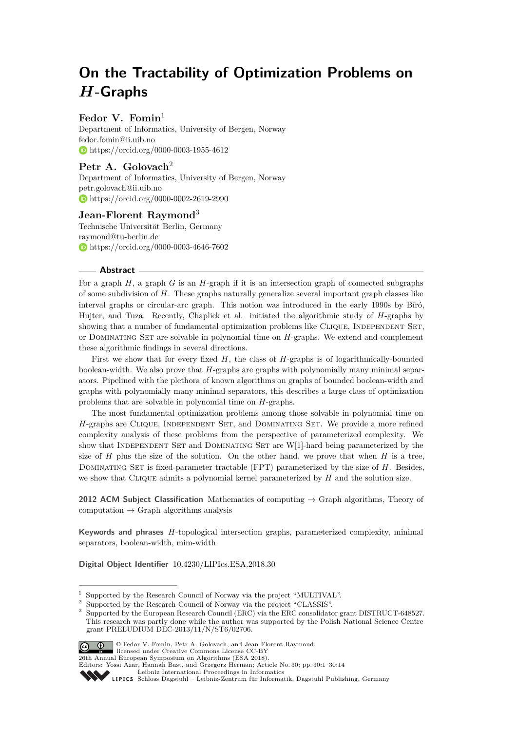# **On the Tractability of Optimization Problems on** *H***-Graphs**

# Fedor V. Fomin<sup>1</sup>

Department of Informatics, University of Bergen, Norway [fedor.fomin@ii.uib.no](mailto:fedor.fomin@ii.uib.no) <https://orcid.org/0000-0003-1955-4612>

# Petr A. Golovach<sup>2</sup>

Department of Informatics, University of Bergen, Norway [petr.golovach@ii.uib.no](mailto:petr.golovach@ii.uib.no) <https://orcid.org/0000-0002-2619-2990>

## **Jean-Florent Raymond**<sup>3</sup>

Technische Universität Berlin, Germany [raymond@tu-berlin.de](mailto:raymond@tu-berlin.de) <https://orcid.org/0000-0003-4646-7602>

#### **Abstract**

For a graph *H*, a graph *G* is an *H*-graph if it is an intersection graph of connected subgraphs of some subdivision of *H*. These graphs naturally generalize several important graph classes like interval graphs or circular-arc graph. This notion was introduced in the early 1990s by Bíró, Hujter, and Tuza. Recently, Chaplick et al. initiated the algorithmic study of *H*-graphs by showing that a number of fundamental optimization problems like CLIQUE, INDEPENDENT SET, or Dominating Set are solvable in polynomial time on *H*-graphs. We extend and complement these algorithmic findings in several directions.

First we show that for every fixed *H*, the class of *H*-graphs is of logarithmically-bounded boolean-width. We also prove that *H*-graphs are graphs with polynomially many minimal separators. Pipelined with the plethora of known algorithms on graphs of bounded boolean-width and graphs with polynomially many minimal separators, this describes a large class of optimization problems that are solvable in polynomial time on *H*-graphs.

The most fundamental optimization problems among those solvable in polynomial time on *H*-graphs are CLIQUE, INDEPENDENT SET, and DOMINATING SET. We provide a more refined complexity analysis of these problems from the perspective of parameterized complexity. We show that INDEPENDENT SET and DOMINATING SET are W[1]-hard being parameterized by the size of  $H$  plus the size of the solution. On the other hand, we prove that when  $H$  is a tree, Dominating Set is fixed-parameter tractable (FPT) parameterized by the size of *H*. Besides, we show that Clique admits a polynomial kernel parameterized by *H* and the solution size.

**2012 ACM Subject Classification** Mathematics of computing → Graph algorithms, Theory of computation  $\rightarrow$  Graph algorithms analysis

**Keywords and phrases** *H*-topological intersection graphs, parameterized complexity, minimal separators, boolean-width, mim-width

**Digital Object Identifier** [10.4230/LIPIcs.ESA.2018.30](http://dx.doi.org/10.4230/LIPIcs.ESA.2018.30)

<sup>&</sup>lt;sup>3</sup> Supported by the European Research Council (ERC) via the ERC consolidator grant DISTRUCT-648527. This research was partly done while the author was supported by the Polish National Science Centre grant PRELUDIUM DEC-2013/11/N/ST6/02706.



© Fedor V. Fomin, Petr A. Golovach, and Jean-Florent Raymond; licensed under Creative Commons License CC-BY

26th Annual European Symposium on Algorithms (ESA 2018).

[Leibniz International Proceedings in Informatics](http://www.dagstuhl.de/lipics/)

Supported by the Research Council of Norway via the project "MULTIVAL".

<sup>&</sup>lt;sup>2</sup> Supported by the Research Council of Norway via the project "CLASSIS".

Editors: Yossi Azar, Hannah Bast, and Grzegorz Herman; Article No. 30; pp. 30:1–30[:14](#page-13-0)

Leibniz International Froceedings in miormatics<br>
LIPICS [Schloss Dagstuhl – Leibniz-Zentrum für Informatik, Dagstuhl Publishing, Germany](http://www.dagstuhl.de)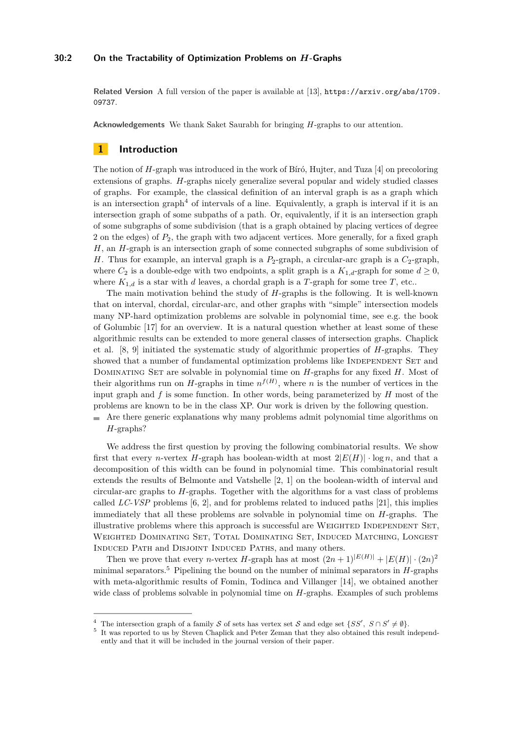## **30:2 On the Tractability of Optimization Problems on** *H***-Graphs**

**Related Version** A full version of the paper is available at [\[13\]](#page-12-0), [https://arxiv.org/abs/1709.](https://arxiv.org/abs/1709.09737) [09737](https://arxiv.org/abs/1709.09737).

**Acknowledgements** We thank Saket Saurabh for bringing *H*-graphs to our attention.

## **1 Introduction**

The notion of *H*-graph was introduced in the work of Bíró, Hujter, and Tuza [\[4\]](#page-12-1) on precoloring extensions of graphs. *H*-graphs nicely generalize several popular and widely studied classes of graphs. For example, the classical definition of an interval graph is as a graph which is an intersection graph<sup> $4$ </sup> of intervals of a line. Equivalently, a graph is interval if it is an intersection graph of some subpaths of a path. Or, equivalently, if it is an intersection graph of some subgraphs of some subdivision (that is a graph obtained by placing vertices of degree 2 on the edges) of *P*2, the graph with two adjacent vertices. More generally, for a fixed graph *H*, an *H*-graph is an intersection graph of some connected subgraphs of some subdivision of *H*. Thus for example, an interval graph is a *P*2-graph, a circular-arc graph is a *C*2-graph, where  $C_2$  is a double-edge with two endpoints, a split graph is a  $K_{1,d}$ -graph for some  $d \geq 0$ , where  $K_{1,d}$  is a star with *d* leaves, a chordal graph is a *T*-graph for some tree *T*, etc..

The main motivation behind the study of *H*-graphs is the following. It is well-known that on interval, chordal, circular-arc, and other graphs with "simple" intersection models many NP-hard optimization problems are solvable in polynomial time, see e.g. the book of Golumbic [\[17\]](#page-13-1) for an overview. It is a natural question whether at least some of these algorithmic results can be extended to more general classes of intersection graphs. Chaplick et al. [\[8,](#page-12-2) [9\]](#page-12-3) initiated the systematic study of algorithmic properties of *H*-graphs. They showed that a number of fundamental optimization problems like INDEPENDENT SET and Dominating Set are solvable in polynomial time on *H*-graphs for any fixed *H*. Most of their algorithms run on *H*-graphs in time  $n^{f(H)}$ , where *n* is the number of vertices in the input graph and *f* is some function. In other words, being parameterized by *H* most of the problems are known to be in the class XP. Our work is driven by the following question.

Are there generic explanations why many problems admit polynomial time algorithms on *H*-graphs?

We address the first question by proving the following combinatorial results. We show first that every *n*-vertex *H*-graph has boolean-width at most  $2|E(H)| \cdot \log n$ , and that a decomposition of this width can be found in polynomial time. This combinatorial result extends the results of Belmonte and Vatshelle [\[2,](#page-12-4) [1\]](#page-12-5) on the boolean-width of interval and circular-arc graphs to *H*-graphs. Together with the algorithms for a vast class of problems called *LC-VSP* problems [\[6,](#page-12-6) [2\]](#page-12-4), and for problems related to induced paths [\[21\]](#page-13-2), this implies immediately that all these problems are solvable in polynomial time on *H*-graphs. The illustrative problems where this approach is successful are WEIGHTED INDEPENDENT SET, Weighted Dominating Set, Total Dominating Set, Induced Matching, Longest Induced Path and Disjoint Induced Paths, and many others.

Then we prove that every *n*-vertex *H*-graph has at most  $(2n+1)^{|E(H)|} + |E(H)| \cdot (2n)^2$ minimal separators.[5](#page-1-1) Pipelining the bound on the number of minimal separators in *H*-graphs with meta-algorithmic results of Fomin, Todinca and Villanger [\[14\]](#page-13-3), we obtained another wide class of problems solvable in polynomial time on *H*-graphs. Examples of such problems

<span id="page-1-0"></span><sup>&</sup>lt;sup>4</sup> The intersection graph of a family S of sets has vertex set S and edge set  $\{SS', S \cap S' \neq \emptyset\}$ .

<span id="page-1-1"></span><sup>5</sup> It was reported to us by Steven Chaplick and Peter Zeman that they also obtained this result independently and that it will be included in the journal version of their paper.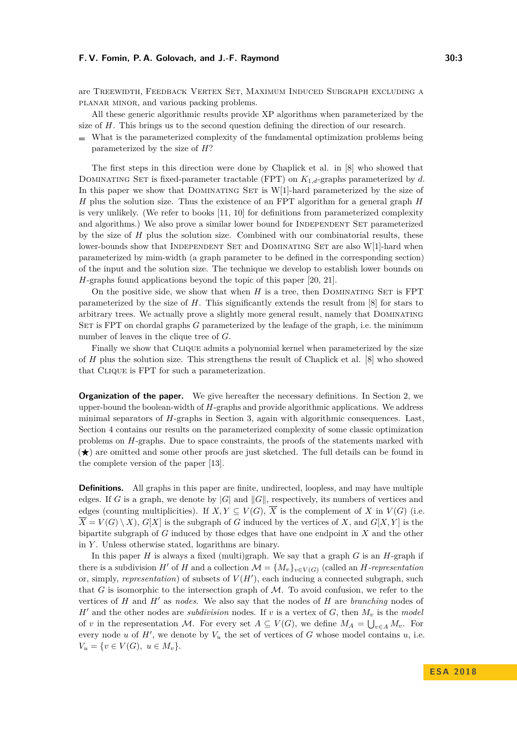are Treewidth, Feedback Vertex Set, Maximum Induced Subgraph excluding a planar minor, and various packing problems.

All these generic algorithmic results provide XP algorithms when parameterized by the size of *H*. This brings us to the second question defining the direction of our research.

What is the parameterized complexity of the fundamental optimization problems being parameterized by the size of *H*?

The first steps in this direction were done by Chaplick et al. in [\[8\]](#page-12-2) who showed that DOMINATING SET is fixed-parameter tractable (FPT) on  $K_{1,d}$ -graphs parameterized by *d*. In this paper we show that DOMINATING SET is  $W[1]$ -hard parameterized by the size of *H* plus the solution size. Thus the existence of an FPT algorithm for a general graph *H* is very unlikely. (We refer to books [\[11,](#page-12-7) [10\]](#page-12-8) for definitions from parameterized complexity and algorithms.) We also prove a similar lower bound for INDEPENDENT SET parameterized by the size of *H* plus the solution size. Combined with our combinatorial results, these lower-bounds show that INDEPENDENT SET and DOMINATING SET are also W[1]-hard when parameterized by mim-width (a graph parameter to be defined in the corresponding section) of the input and the solution size. The technique we develop to establish lower bounds on *H*-graphs found applications beyond the topic of this paper [\[20,](#page-13-4) [21\]](#page-13-2).

On the positive side, we show that when  $H$  is a tree, then DOMINATING SET is FPT parameterized by the size of *H*. This significantly extends the result from [\[8\]](#page-12-2) for stars to arbitrary trees. We actually prove a slightly more general result, namely that Dominating SET is FPT on chordal graphs *G* parameterized by the leafage of the graph, i.e. the minimum number of leaves in the clique tree of *G*.

Finally we show that CLIQUE admits a polynomial kernel when parameterized by the size of *H* plus the solution size. This strengthens the result of Chaplick et al. [\[8\]](#page-12-2) who showed that Clique is FPT for such a parameterization.

**Organization of the paper.** We give hereafter the necessary definitions. In Section [2,](#page-3-0) we upper-bound the boolean-width of *H*-graphs and provide algorithmic applications. We address minimal separators of *H*-graphs in Section [3,](#page-5-0) again with algorithmic consequences. Last, Section [4](#page-7-0) contains our results on the parameterized complexity of some classic optimization problems on *H*-graphs. Due to space constraints, the proofs of the statements marked with  $\star$  are omitted and some other proofs are just sketched. The full details can be found in the complete version of the paper [\[13\]](#page-12-0).

**Definitions.** All graphs in this paper are finite, undirected, loopless, and may have multiple edges. If *G* is a graph, we denote by  $|G|$  and  $||G||$ , respectively, its numbers of vertices and edges (counting multiplicities). If  $X, Y \subseteq V(G), \overline{X}$  is the complement of *X* in  $V(G)$  (i.e.  $\overline{X} = V(G) \setminus X$ ,  $G[X]$  is the subgraph of *G* induced by the vertices of *X*, and  $G[X, Y]$  is the bipartite subgraph of *G* induced by those edges that have one endpoint in *X* and the other in *Y* . Unless otherwise stated, logarithms are binary.

In this paper *H* is always a fixed (multi)graph. We say that a graph *G* is an *H*-graph if there is a subdivision *H'* of *H* and a collection  $\mathcal{M} = \{M_v\}_{v \in V(G)}$  (called an *H*-representation or, simply, *representation*) of subsets of  $V(H')$ , each inducing a connected subgraph, such that  $G$  is isomorphic to the intersection graph of  $M$ . To avoid confusion, we refer to the vertices of  $H$  and  $H'$  as *nodes*. We also say that the nodes of  $H$  are *branching* nodes of  $H'$  and the other nodes are *subdivision* nodes. If *v* is a vertex of *G*, then  $M_v$  is the *model* of *v* in the representation M. For every set  $A \subseteq V(G)$ , we define  $M_A = \bigcup_{v \in A} M_v$ . For every node *u* of  $H'$ , we denote by  $V_u$  the set of vertices of  $G$  whose model contains  $u$ , i.e.  $V_u = \{v \in V(G), u \in M_v\}.$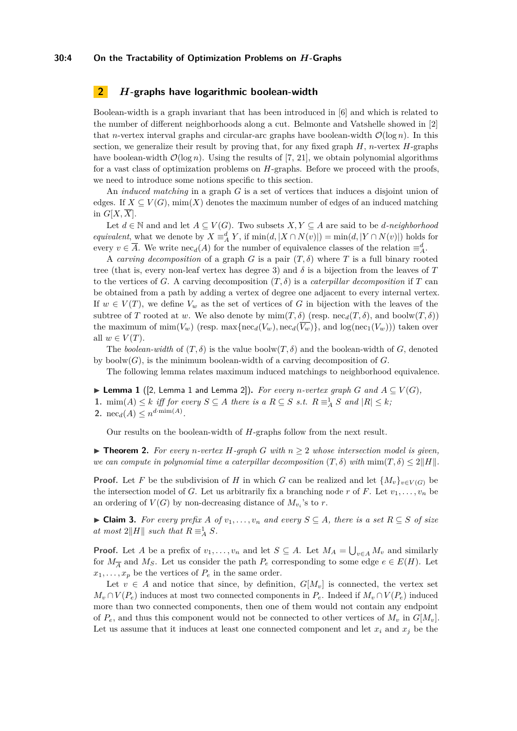# <span id="page-3-0"></span>**2** *H***-graphs have logarithmic boolean-width**

Boolean-width is a graph invariant that has been introduced in [\[6\]](#page-12-6) and which is related to the number of different neighborhoods along a cut. Belmonte and Vatshelle showed in [\[2\]](#page-12-4) that *n*-vertex interval graphs and circular-arc graphs have boolean-width  $\mathcal{O}(\log n)$ . In this section, we generalize their result by proving that, for any fixed graph *H*, *n*-vertex *H*-graphs have boolean-width  $\mathcal{O}(\log n)$ . Using the results of [\[7,](#page-12-9) [21\]](#page-13-2), we obtain polynomial algorithms for a vast class of optimization problems on *H*-graphs. Before we proceed with the proofs, we need to introduce some notions specific to this section.

An *induced matching* in a graph *G* is a set of vertices that induces a disjoint union of edges. If  $X \subseteq V(G)$ , mim $(X)$  denotes the maximum number of edges of an induced matching in  $G[X,\overline{X}]$ .

Let  $d \in \mathbb{N}$  and and let  $A \subseteq V(G)$ . Two subsets  $X, Y \subseteq A$  are said to be *d*-neighborhood *equivalent*, what we denote by  $X \equiv_A^d Y$ , if  $\min(d, |X \cap N(v)|) = \min(d, |Y \cap N(v)|)$  holds for every  $v \in \overline{A}$ . We write  $\operatorname{nec}_d(A)$  for the number of equivalence classes of the relation  $\equiv_A^d$ .

A *carving decomposition* of a graph *G* is a pair (*T, δ*) where *T* is a full binary rooted tree (that is, every non-leaf vertex has degree 3) and  $\delta$  is a bijection from the leaves of  $T$ to the vertices of *G*. A carving decomposition  $(T, \delta)$  is a *caterpillar decomposition* if *T* can be obtained from a path by adding a vertex of degree one adjacent to every internal vertex. If  $w \in V(T)$ , we define  $V_w$  as the set of vertices of *G* in bijection with the leaves of the subtree of *T* rooted at *w*. We also denote by  $\min(T, \delta)$  (resp.  $\operatorname{nec}_d(T, \delta)$ , and  $\operatorname{boolw}(T, \delta)$ ) the maximum of  $\min(V_w)$  (resp.  $\max\{\operatorname{nec}_d(V_w), \operatorname{nec}_d(\overline{V_w})\}\)$ , and  $\log(\operatorname{nec}_1(V_w))$ ) taken over all  $w \in V(T)$ .

The *boolean-width* of  $(T, \delta)$  is the value boolw $(T, \delta)$  and the boolean-width of *G*, denoted by boolw $(G)$ , is the minimum boolean-width of a carving decomposition of  $G$ .

The following lemma relates maximum induced matchings to neighborhood equivalence.

<span id="page-3-2"></span>▶ **Lemma 1** ([\[2,](#page-12-4) Lemma 1 and Lemma 2]). *For every n-vertex graph G* and  $A \subseteq V(G)$ , **1.** mim(*A*) ≤ *k iff for every*  $S \subseteq A$  *there is a*  $R \subseteq S$  *s.t.*  $R \equiv^1_A S$  *and*  $|R| \leq k$ ;

<span id="page-3-4"></span>**2.**  $\text{nec}_d(A) \leq n^{d \cdot \min(A)}$ .

Our results on the boolean-width of *H*-graphs follow from the next result.

<span id="page-3-3"></span> $\triangleright$  **Theorem 2.** For every *n*-vertex *H*-graph *G* with  $n \geq 2$  whose intersection model is given, *we can compute in polynomial time a caterpillar decomposition*  $(T, \delta)$  *with*  $\min(T, \delta) \leq 2||H||$ .

**Proof.** Let *F* be the subdivision of *H* in which *G* can be realized and let  $\{M_v\}_{v \in V(G)}$  be the intersection model of *G*. Let us arbitrarily fix a branching node *r* of *F*. Let  $v_1, \ldots, v_n$  be an ordering of  $V(G)$  by non-decreasing distance of  $M_{v_i}$ 's to r.

<span id="page-3-1"></span>▶ **Claim 3.** For every prefix A of  $v_1, \ldots, v_n$  and every  $S \subseteq A$ , there is a set  $R \subseteq S$  of size *at most*  $2\|H\|$  *such that*  $R \equiv_A^1 S$ *.* 

**Proof.** Let *A* be a prefix of  $v_1, \ldots, v_n$  and let  $S \subseteq A$ . Let  $M_A = \bigcup_{v \in A} M_v$  and similarly for  $M_{\overline{A}}$  and  $M_S$ . Let us consider the path  $P_e$  corresponding to some edge  $e \in E(H)$ . Let  $x_1, \ldots, x_p$  be the vertices of  $P_e$  in the same order.

Let  $v \in A$  and notice that since, by definition,  $G[M_v]$  is connected, the vertex set  $M_v \cap V(P_e)$  induces at most two connected components in  $P_e$ . Indeed if  $M_v \cap V(P_e)$  induced more than two connected components, then one of them would not contain any endpoint of  $P_e$ , and thus this component would not be connected to other vertices of  $M_v$  in  $G[M_v]$ . Let us assume that it induces at least one connected component and let  $x_i$  and  $x_j$  be the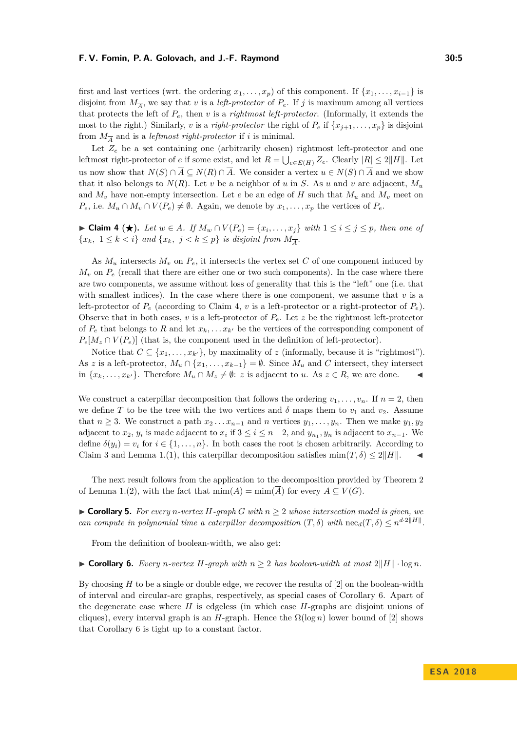first and last vertices (wrt. the ordering  $x_1, \ldots, x_p$ ) of this component. If  $\{x_1, \ldots, x_{i-1}\}$  is disjoint from  $M_{\overline{A}}$ , we say that *v* is a *left-protector* of  $P_e$ . If *j* is maximum among all vertices that protects the left of *Pe*, then *v* is a *rightmost left-protector*. (Informally, it extends the most to the right.) Similarly, *v* is a *right-protector* the right of  $P_e$  if  $\{x_{j+1}, \ldots, x_p\}$  is disjoint from  $M_{\overline{A}}$  and is a *leftmost right-protector* if *i* is minimal.

Let  $Z_e$  be a set containing one (arbitrarily chosen) rightmost left-protector and one leftmost right-protector of *e* if some exist, and let  $R = \bigcup_{e \in E(H)} Z_e$ . Clearly  $|R| \leq 2||H||$ . Let us now show that  $N(S) \cap \overline{A} \subseteq N(R) \cap \overline{A}$ . We consider a vertex  $u \in N(S) \cap \overline{A}$  and we show that it also belongs to  $N(R)$ . Let *v* be a neighbor of *u* in *S*. As *u* and *v* are adjacent,  $M_u$ and  $M_v$  have non-empty intersection. Let *e* be an edge of *H* such that  $M_u$  and  $M_v$  meet on *P<sub>e</sub>*, i.e.  $M_u \cap M_v \cap V(P_e) \neq \emptyset$ . Again, we denote by  $x_1, \ldots, x_p$  the vertices of  $P_e$ .

<span id="page-4-0"></span>► Claim 4 (★). Let  $w \in A$ . If  $M_w \cap V(P_e) = \{x_i, \ldots, x_j\}$  with  $1 \le i \le j \le p$ , then one of  ${x_k, 1 \leq k < i}$  *and*  ${x_k, j < k \leq p}$  *is disjoint from*  $M_{\overline{A}}$ *.* 

As  $M_u$  intersects  $M_v$  on  $P_e$ , it intersects the vertex set C of one component induced by  $M_v$  on  $P_e$  (recall that there are either one or two such components). In the case where there are two components, we assume without loss of generality that this is the "left" one (i.e. that with smallest indices). In the case where there is one component, we assume that  $v$  is a left-protector of  $P_e$  (according to Claim [4,](#page-4-0) *v* is a left-protector or a right-protector of  $P_e$ ). Observe that in both cases,  $v$  is a left-protector of  $P_e$ . Let  $z$  be the rightmost left-protector of  $P_e$  that belongs to R and let  $x_k, \ldots, x_{k'}$  be the vertices of the corresponding component of  $P_e[M_z \cap V(P_e)]$  (that is, the component used in the definition of left-protector).

Notice that  $C \subseteq \{x_1, \ldots, x_{k'}\}$ , by maximality of *z* (informally, because it is "rightmost"). As *z* is a left-protector,  $M_u \cap \{x_1, \ldots, x_{k-1}\} = \emptyset$ . Since  $M_u$  and *C* intersect, they intersect in  ${x<sub>k</sub>, ..., x<sub>k'</sub>}$ . Therefore  $M_u ∩ M_z \neq \emptyset$ : *z* is adjacent to *u*. As *z* ∈ *R*, we are done.  $\blacksquare$ 

We construct a caterpillar decomposition that follows the ordering  $v_1, \ldots, v_n$ . If  $n = 2$ , then we define *T* to be the tree with the two vertices and  $\delta$  maps them to  $v_1$  and  $v_2$ . Assume that  $n \geq 3$ . We construct a path  $x_2 \ldots x_{n-1}$  and *n* vertices  $y_1, \ldots, y_n$ . Then we make  $y_1, y_2$ adjacent to  $x_2, y_i$  is made adjacent to  $x_i$  if  $3 \le i \le n-2$ , and  $y_{n_1}, y_n$  is adjacent to  $x_{n-1}$ . We define  $\delta(y_i) = v_i$  for  $i \in \{1, \ldots, n\}$ . In both cases the root is chosen arbitrarily. According to Claim [3](#page-3-1) and Lemma 1.[\(1\)](#page-3-2), this caterpillar decomposition satisfies  $\min(T, \delta) \leq 2||H||$ .

The next result follows from the application to the decomposition provided by Theorem [2](#page-3-3) of Lemma 1.[\(2\)](#page-3-4), with the fact that  $\min(A) = \min(\overline{A})$  for every  $A \subseteq V(G)$ .

<span id="page-4-2"></span>▶ **Corollary 5.** *For every n*-vertex  $H$ -graph  $G$  with  $n \geq 2$  whose intersection model is given, we *can compute in polynomial time a caterpillar decomposition*  $(T, \delta)$  with  $\text{nec}_d(T, \delta) \leq n^{d \cdot 2||H||}$ .

From the definition of boolean-width, we also get:

<span id="page-4-1"></span>▶ **Corollary 6.** *Every n-vertex H-graph with*  $n ≥ 2$  *has boolean-width at most*  $2||H|| \cdot \log n$ *.* 

By choosing *H* to be a single or double edge, we recover the results of [\[2\]](#page-12-4) on the boolean-width of interval and circular-arc graphs, respectively, as special cases of Corollary [6.](#page-4-1) Apart of the degenerate case where *H* is edgeless (in which case *H*-graphs are disjoint unions of cliques), every interval graph is an *H*-graph. Hence the  $\Omega(\log n)$  lower bound of [\[2\]](#page-12-4) shows that Corollary [6](#page-4-1) is tight up to a constant factor.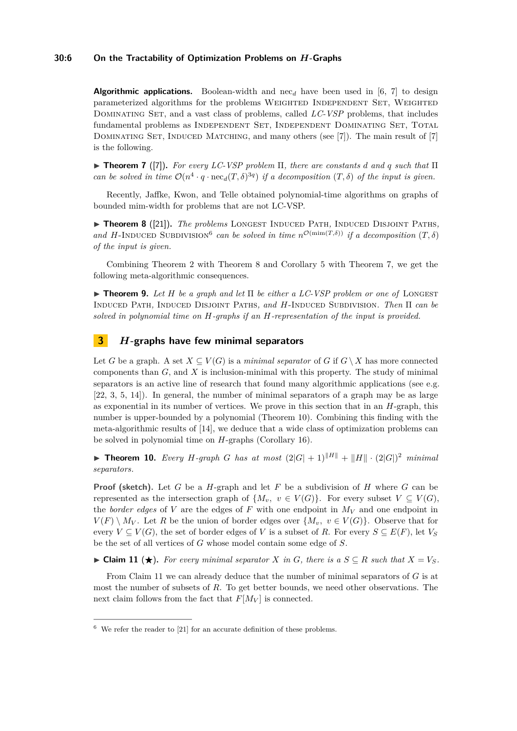## **30:6 On the Tractability of Optimization Problems on** *H***-Graphs**

**Algorithmic applications.** Boolean-width and nec<sub>d</sub> have been used in [\[6,](#page-12-6) [7\]](#page-12-9) to design parameterized algorithms for the problems WEIGHTED INDEPENDENT SET, WEIGHTED Dominating Set, and a vast class of problems, called *LC-VSP* problems, that includes fundamental problems as Independent Set, Independent Dominating Set, Total DOMINATING SET, INDUCED MATCHING, and many others (see [\[7\]](#page-12-9)). The main result of [7] is the following.

<span id="page-5-3"></span>I **Theorem 7** ([\[7\]](#page-12-9))**.** *For every LC-VSP problem* Π*, there are constants d and q such that* Π *can be solved in time*  $O(n^4 \cdot q \cdot \text{nec}_{d}(T, \delta)^{3q})$  *if a decomposition*  $(T, \delta)$  *of the input is given.* 

Recently, Jaffke, Kwon, and Telle obtained polynomial-time algorithms on graphs of bounded mim-width for problems that are not LC-VSP.

<span id="page-5-2"></span>▶ **Theorem 8** ([\[21\]](#page-13-2)). *The problems* LONGEST INDUCED PATH, INDUCED DISJOINT PATHS, *and H*-INDUCED SUBDIVISION<sup>[6](#page-5-1)</sup> can be solved in time  $n^{\mathcal{O}(\min(T,\delta))}$  if a decomposition  $(T,\delta)$ *of the input is given.*

Combining Theorem [2](#page-3-3) with Theorem [8](#page-5-2) and Corollary [5](#page-4-2) with Theorem [7,](#page-5-3) we get the following meta-algorithmic consequences.

I **Theorem 9.** *Let H be a graph and let* Π *be either a LC-VSP problem or one of* Longest Induced Path*,* Induced Disjoint Paths*, and H*-Induced Subdivision*. Then* Π *can be solved in polynomial time on H-graphs if an H-representation of the input is provided.*

# <span id="page-5-0"></span>**3** *H***-graphs have few minimal separators**

Let *G* be a graph. A set  $X \subseteq V(G)$  is a *minimal separator* of *G* if  $G \setminus X$  has more connected components than *G*, and *X* is inclusion-minimal with this property. The study of minimal separators is an active line of research that found many algorithmic applications (see e.g. [\[22,](#page-13-5) [3,](#page-12-10) [5,](#page-12-11) [14\]](#page-13-3)). In general, the number of minimal separators of a graph may be as large as exponential in its number of vertices. We prove in this section that in an *H*-graph, this number is upper-bounded by a polynomial (Theorem [10\)](#page-5-4). Combining this finding with the meta-algorithmic results of [\[14\]](#page-13-3), we deduce that a wide class of optimization problems can be solved in polynomial time on *H*-graphs (Corollary [16\)](#page-7-1).

<span id="page-5-4"></span>**Find 10.** *Every H-graph G has at most*  $(2|G| + 1)^{||H||} + ||H|| \cdot (2|G|)^2$  *minimal separators.*

**Proof (sketch).** Let *G* be a *H*-graph and let *F* be a subdivision of *H* where *G* can be represented as the intersection graph of  $\{M_v, v \in V(G)\}$ . For every subset  $V \subseteq V(G)$ , the *border edges* of *V* are the edges of *F* with one endpoint in  $M_V$  and one endpoint in  $V(F) \setminus M_V$ . Let *R* be the union of border edges over  $\{M_v, v \in V(G)\}$ . Observe that for every  $V \subseteq V(G)$ , the set of border edges of *V* is a subset of *R*. For every  $S \subseteq E(F)$ , let  $V_S$ be the set of all vertices of *G* whose model contain some edge of *S*.

<span id="page-5-5"></span>► Claim 11 (★). For every minimal separator *X* in *G*, there is a  $S \subseteq R$  such that  $X = V_S$ .

From Claim [11](#page-5-5) we can already deduce that the number of minimal separators of *G* is at most the number of subsets of *R*. To get better bounds, we need other observations. The next claim follows from the fact that  $F[M_V]$  is connected.

<span id="page-5-1"></span> $6\,$  We refer the reader to [\[21\]](#page-13-2) for an accurate definition of these problems.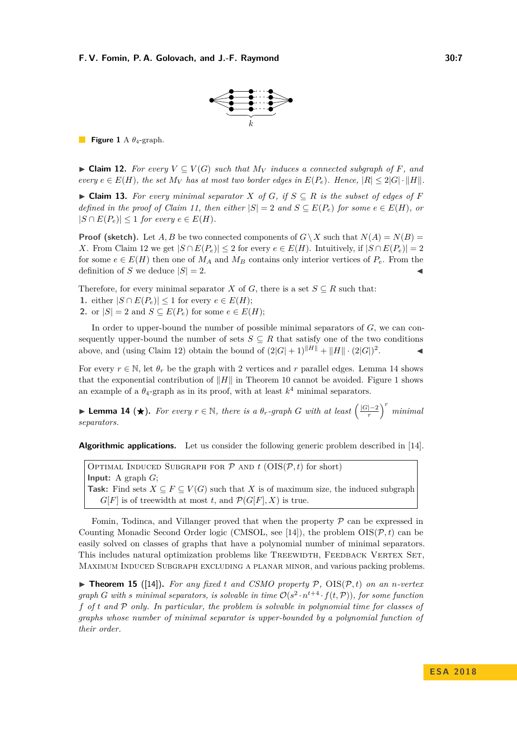

<span id="page-6-2"></span>**Figure 1** A *θ*4-graph.

<span id="page-6-0"></span>▶ **Claim 12.** *For every*  $V \subseteq V(G)$  *such that*  $M_V$  *induces a connected subgraph of F, and*  $e^{i\omega t}$   $e \in E(H)$ , the set  $M_V$  has at most two border edges in  $E(P_e)$ . Hence,  $|R| \leq 2|G| \cdot ||H||$ .

► Claim 13. For every minimal separator  $X$  of  $G$ , if  $S \subseteq R$  is the subset of edges of  $F$ *defined in the proof of Claim [11,](#page-5-5) then either*  $|S| = 2$  *and*  $S \subseteq E(P_e)$  *for some*  $e \in E(H)$ *, or*  $|S \cap E(P_e)| \leq 1$  *for every*  $e \in E(H)$ *.* 

**Proof (sketch).** Let *A, B* be two connected components of  $G \setminus X$  such that  $N(A) = N(B)$ *X*. From Claim [12](#page-6-0) we get  $|S ∩ E(P_e)| ≤ 2$  for every  $e ∈ E(H)$ . Intuitively, if  $|S ∩ E(P_e)| = 2$ for some  $e \in E(H)$  then one of  $M_A$  and  $M_B$  contains only interior vertices of  $P_e$ . From the definition of *S* we deduce  $|S| = 2$ .

Therefore, for every minimal separator *X* of *G*, there is a set  $S \subseteq R$  such that: **1.** either  $|S \cap E(P_e)|$  ≤ 1 for every  $e \in E(H)$ ; 2. or  $|S| = 2$  and  $S \subseteq E(P_e)$  for some  $e \in E(H)$ ;

In order to upper-bound the number of possible minimal separators of *G*, we can consequently upper-bound the number of sets  $S \subseteq R$  that satisfy one of the two conditions above, and (using Claim [12\)](#page-6-0) obtain the bound of  $(2|G|+1)^{||H||} + ||H|| \cdot (2|G|)^2$  $\mathcal{L}$ 

For every  $r \in \mathbb{N}$ , let  $\theta_r$  be the graph with 2 vertices and r parallel edges. Lemma [14](#page-6-1) shows that the exponential contribution of  $||H||$  in Theorem [10](#page-5-4) cannot be avoided. Figure [1](#page-6-2) shows an example of a  $\theta_4$ -graph as in its proof, with at least  $k^4$  minimal separators.

<span id="page-6-1"></span>**► Lemma 14 (★).** For every  $r \in \mathbb{N}$ , there is a  $\theta_r$ -graph *G* with at least  $\left(\frac{|G|-2}{r}\right)$  $\binom{1-2}{r}^r$  *minimal separators.*

**Algorithmic applications.** Let us consider the following generic problem described in [\[14\]](#page-13-3).

OPTIMAL INDUCED SUBGRAPH FOR  $P$  AND  $t$  (OIS( $P, t$ ) for short) **Input:** A graph *G*; **Task:** Find sets  $X \subseteq F \subseteq V(G)$  such that *X* is of maximum size, the induced subgraph  $G[F]$  is of treewidth at most *t*, and  $\mathcal{P}(G[F], X)$  is true.

Fomin, Todinca, and Villanger proved that when the property  $P$  can be expressed in Counting Monadic Second Order logic (CMSOL, see [\[14\]](#page-13-3)), the problem  $OIS(\mathcal{P}, t)$  can be easily solved on classes of graphs that have a polynomial number of minimal separators. This includes natural optimization problems like TREEWIDTH, FEEDBACK VERTEX SET, Maximum Induced Subgraph excluding a planar minor, and various packing problems.

 $\triangleright$  **Theorem 15** ([\[14\]](#page-13-3)). For any fixed *t* and CSMO property P, OIS(P, *t*) on an *n*-vertex *graph G* with *s* minimal separators, is solvable in time  $\mathcal{O}(s^2 \cdot n^{t+4} \cdot f(t,\mathcal{P}))$ , for some function *f of t and* P *only. In particular, the problem is solvable in polynomial time for classes of graphs whose number of minimal separator is upper-bounded by a polynomial function of their order.*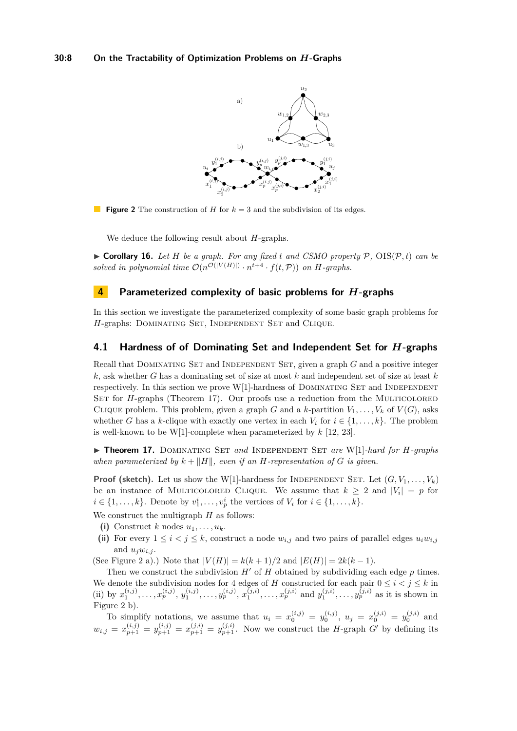<span id="page-7-3"></span>

**Figure 2** The construction of *H* for  $k = 3$  and the subdivision of its edges.

We deduce the following result about *H*-graphs.

<span id="page-7-1"></span> $\triangleright$  **Corollary 16.** Let *H* be a graph. For any fixed *t* and CSMO property P, OIS(P, *t*) can be *solved in polynomial time*  $\mathcal{O}(n^{\mathcal{O}(|V(H)|)} \cdot n^{t+4} \cdot f(t,\mathcal{P}))$  *on H-graphs.* 

## <span id="page-7-0"></span>**4 Parameterized complexity of basic problems for** *H***-graphs**

In this section we investigate the parameterized complexity of some basic graph problems for *H*-graphs: DOMINATING SET, INDEPENDENT SET and CLIQUE.

## **4.1 Hardness of of Dominating Set and Independent Set for** *H***-graphs**

Recall that DOMINATING SET and INDEPENDENT SET, given a graph *G* and a positive integer *k*, ask whether *G* has a dominating set of size at most *k* and independent set of size at least *k* respectively. In this section we prove  $W[1]$ -hardness of DOMINATING SET and INDEPENDENT SET for *H*-graphs [\(Theorem 17\)](#page-7-2). Our proofs use a reduction from the MULTICOLORED CLIQUE problem. This problem, given a graph *G* and a *k*-partition  $V_1, \ldots, V_k$  of  $V(G)$ , asks whether *G* has a *k*-clique with exactly one vertex in each  $V_i$  for  $i \in \{1, \ldots, k\}$ . The problem is well-known to be W[1]-complete when parameterized by *k* [\[12,](#page-12-12) [23\]](#page-13-6).

<span id="page-7-2"></span>I **Theorem 17.** Dominating Set *and* Independent Set *are* W[1]*-hard for H-graphs when parameterized by*  $k + ||H||$ *, even if an H-representation of G is given.* 

**Proof (sketch).** Let us show the W[1]-hardness for INDEPENDENT SET. Let  $(G, V_1, \ldots, V_k)$ be an instance of MULTICOLORED CLIQUE. We assume that  $k \geq 2$  and  $|V_i| = p$  for  $i \in \{1, \ldots, k\}$ . Denote by  $v_1^i, \ldots, v_p^i$  the vertices of  $V_i$  for  $i \in \{1, \ldots, k\}$ .

We construct the multigraph *H* as follows:

- (i) Construct *k* nodes  $u_1, \ldots, u_k$ .
- (ii) For every  $1 \leq i < j \leq k$ , construct a node  $w_{i,j}$  and two pairs of parallel edges  $u_i w_{i,j}$ and  $u_i w_{i,i}$ .

(See Figure [2](#page-7-3) a).) Note that  $|V(H)| = k(k+1)/2$  and  $|E(H)| = 2k(k-1)$ .

Then we construct the subdivision  $H'$  of  $H$  obtained by subdividing each edge  $p$  times. We denote the subdivision nodes for 4 edges of *H* constructed for each pair  $0 \le i \le j \le k$  in (ii) by  $x_1^{(i,j)}, \ldots, x_p^{(i,j)}, y_1^{(i,j)}, \ldots, y_p^{(i,j)}, x_1^{(j,i)}, \ldots, x_p^{(j,i)}$  and  $y_1^{(j,i)}, \ldots, y_p^{(j,i)}$  as it is shown in Figure [2](#page-7-3) b).

To simplify notations, we assume that  $u_i = x_0^{(i,j)} = y_0^{(i,j)}$ ,  $u_j = x_0^{(j,i)} = y_0^{(j,i)}$  and  $w_{i,j} = x_{p+1}^{(i,j)} = y_{p+1}^{(i,j)} = x_{p+1}^{(j,i)} = y_{p+1}^{(j,i)}$ . Now we construct the *H*-graph *G*<sup>0</sup> by defining its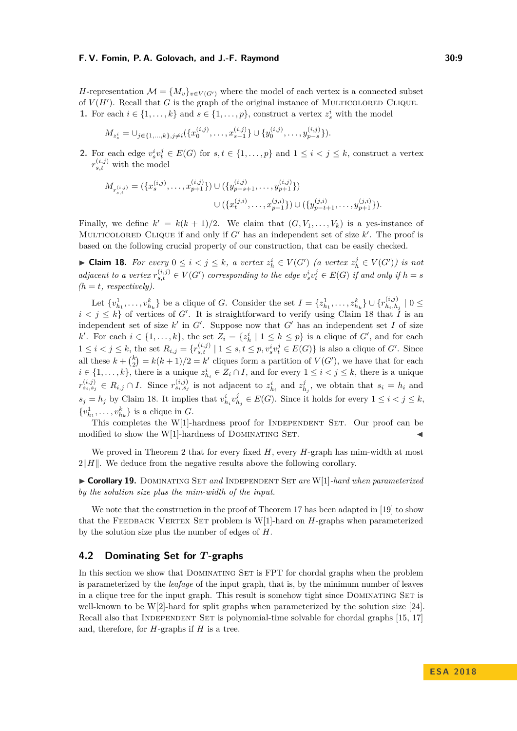*H*-representation  $\mathcal{M} = \{M_v\}_{v \in V(G')}$  where the model of each vertex is a connected subset of  $V(H')$ . Recall that  $G$  is the graph of the original instance of MULTICOLORED CLIQUE. **1.** For each  $i \in \{1, ..., k\}$  and  $s \in \{1, ..., p\}$ , construct a vertex  $z_s^i$  with the model

$$
M_{z_s^i} = \cup_{j \in \{1,\ldots,k\}, j \neq i} (\{x_0^{(i,j)}, \ldots, x_{s-1}^{(i,j)}\} \cup \{y_0^{(i,j)}, \ldots, y_{p-s}^{(i,j)}\}).
$$

**2.** For each edge  $v_s^i v_t^j \in E(G)$  for  $s, t \in \{1, ..., p\}$  and  $1 \leq i < j \leq k$ , construct a vertex  $r_{s,t}^{(i,j)}$  with the model

$$
M_{r_{s,t}^{(i,j)}} = (\{x_s^{(i,j)}, \dots, x_{p+1}^{(i,j)}\}) \cup (\{y_{p-s+1}^{(i,j)}, \dots, y_{p+1}^{(i,j)}\})
$$
  

$$
\cup (\{x_t^{(j,i)}, \dots, x_{p+1}^{(j,i)}\}) \cup (\{y_{p-t+1}^{(j,i)}, \dots, y_{p+1}^{(j,i)}\}).
$$

Finally, we define  $k' = k(k+1)/2$ . We claim that  $(G, V_1, \ldots, V_k)$  is a yes-instance of MULTICOLORED CLIQUE if and only if  $G'$  has an independent set of size  $k'$ . The proof is based on the following crucial property of our construction, that can be easily checked.

<span id="page-8-0"></span>► **Claim 18.** For every  $0 \leq i < j \leq k$ , a vertex  $z_h^i \in V(G')$  (a vertex  $z_h^j \in V(G')$ ) is not adjacent to a vertex  $r_{s,t}^{(i,j)} \in V(G')$  corresponding to the edge  $v_s^i v_t^j \in E(G)$  if and only if  $h = s$  $(h = t, respectively)$ .

Let  $\{v_{h_1}^1, \ldots, v_{h_k}^k\}$  be a clique of *G*. Consider the set  $I = \{z_{h_1}^1, \ldots, z_{h_k}^k\} \cup \{r_{h_i, h_i}^{(i,j)}\}$  $\int_{h_i,h_j}^{(i,j)} |0 \leq$  $i < j \leq k$  of vertices of *G*<sup> $\prime$ </sup>. It is straightforward to verify using Claim [18](#page-8-0) that  $\tilde{I}$  is an independent set of size  $k'$  in  $G'$ . Suppose now that  $G'$  has an independent set  $I$  of size *k*<sup>1</sup>. For each *i* ∈ {1, . . . , *k*}, the set  $Z_i = \{z_h^i \mid 1 \leq h \leq p\}$  is a clique of *G*<sup>*i*</sup>, and for each  $1 \leq i < j \leq k$ , the set  $R_{i,j} = \{r_{s,t}^{(i,j)} \mid 1 \leq s,t \leq p, v_s^i v_t^j \in E(G)\}$  is also a clique of G'. Since all these  $k + {k \choose 2} = k(k+1)/2 = k'$  cliques form a partition of  $V(G')$ , we have that for each  $i \in \{1, \ldots, k\}$ , there is a unique  $z_{h_i}^i \in Z_i \cap I$ , and for every  $1 \leq i < j \leq k$ , there is a unique  $r_{s_i,s_j}^{(i,j)} \in R_{i,j} \cap I$ . Since  $r_{s_i,s_j}^{(i,j)}$  is not adjacent to  $z_{h_i}^i$  and  $z_{h_j}^j$ , we obtain that  $s_i = h_i$  and  $s_j = h_j$  by Claim [18.](#page-8-0) It implies that  $v^i_{h_i} v^j_{h_j} \in E(G)$ . Since it holds for every  $1 \leq i < j \leq k$ ,  $\{v_{h_1}^1, \ldots, v_{h_k}^k\}$  is a clique in *G*.

This completes the  $W[1]$ -hardness proof for INDEPENDENT SET. Our proof can be modified to show the W[1]-hardness of DOMINATING SET.

We proved in Theorem [2](#page-3-3) that for every fixed *H*, every *H*-graph has mim-width at most  $2\|H\|$ . We deduce from the negative results above the following corollary.

I **Corollary 19.** Dominating Set *and* Independent Set *are* W[1]*-hard when parameterized by the solution size plus the mim-width of the input.*

We note that the construction in the proof of Theorem [17](#page-7-2) has been adapted in [\[19\]](#page-13-7) to show that the FEEDBACK VERTEX SET problem is W[1]-hard on *H*-graphs when parameterized by the solution size plus the number of edges of *H*.

## **4.2 Dominating Set for** *T* **-graphs**

In this section we show that DOMINATING SET is FPT for chordal graphs when the problem is parameterized by the *leafage* of the input graph, that is, by the minimum number of leaves in a clique tree for the input graph. This result is somehow tight since DOMINATING SET is well-known to be W[2]-hard for split graphs when parameterized by the solution size [\[24\]](#page-13-8). Recall also that INDEPENDENT SET is polynomial-time solvable for chordal graphs [\[15,](#page-13-9) [17\]](#page-13-1) and, therefore, for *H*-graphs if *H* is a tree.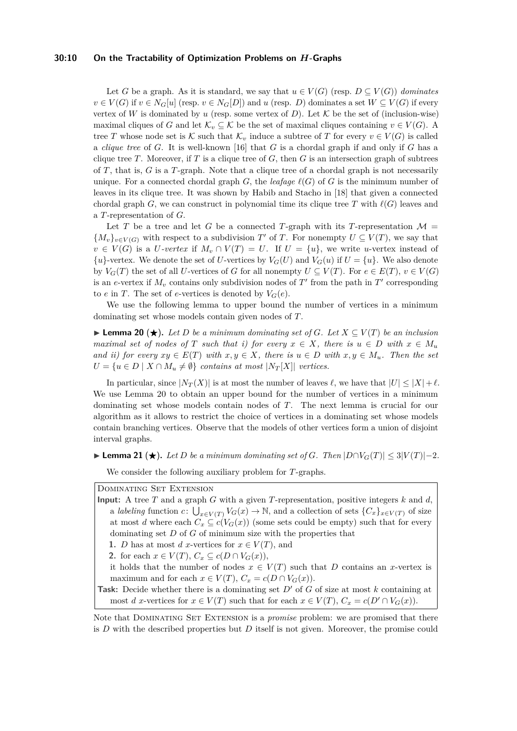#### **30:10 On the Tractability of Optimization Problems on** *H***-Graphs**

Let *G* be a graph. As it is standard, we say that  $u \in V(G)$  (resp.  $D \subset V(G)$ ) *dominates*  $v \in V(G)$  if  $v \in N_G[u]$  (resp.  $v \in N_G[D]$ ) and *u* (resp. *D*) dominates a set  $W \subseteq V(G)$  if every vertex of *W* is dominated by *u* (resp. some vertex of *D*). Let  $K$  be the set of (inclusion-wise) maximal cliques of *G* and let  $\mathcal{K}_v \subseteq \mathcal{K}$  be the set of maximal cliques containing  $v \in V(G)$ . A tree *T* whose node set is K such that  $\mathcal{K}_v$  induce a subtree of *T* for every  $v \in V(G)$  is called a *clique tree* of *G*. It is well-known [\[16\]](#page-13-10) that *G* is a chordal graph if and only if *G* has a clique tree *T*. Moreover, if *T* is a clique tree of *G*, then *G* is an intersection graph of subtrees of *T*, that is, *G* is a *T*-graph. Note that a clique tree of a chordal graph is not necessarily unique. For a connected chordal graph *G*, the *leafage*  $\ell(G)$  of *G* is the minimum number of leaves in its clique tree. It was shown by Habib and Stacho in [\[18\]](#page-13-11) that given a connected chordal graph *G*, we can construct in polynomial time its clique tree *T* with  $\ell(G)$  leaves and a *T*-representation of *G*.

Let *T* be a tree and let *G* be a connected *T*-graph with its *T*-representation  $\mathcal{M} =$  ${M_v}_{v \in V(G)}$  with respect to a subdivision *T*<sup>'</sup> of *T*. For nonempty  $U \subseteq V(T)$ , we say that  $v \in V(G)$  is a *U*-vertex if  $M_v \cap V(T) = U$ . If  $U = \{u\}$ , we write *u*-vertex instead of  ${u}$ -vertex. We denote the set of *U*-vertices by  $V_G(U)$  and  $V_G(u)$  if  $U = {u}$ . We also denote by  $V_G(T)$  the set of all *U*-vertices of *G* for all nonempty  $U \subseteq V(T)$ . For  $e \in E(T)$ ,  $v \in V(G)$ is an *e*-vertex if  $M_v$  contains only subdivision nodes of  $T'$  from the path in  $T'$  corresponding to *e* in *T*. The set of *e*-vertices is denoted by  $V_G(e)$ .

We use the following lemma to upper bound the number of vertices in a minimum dominating set whose models contain given nodes of *T*.

<span id="page-9-0"></span>► **Lemma 20** (★). Let *D* be a minimum dominating set of *G*. Let  $X \subseteq V(T)$  be an inclusion *maximal set of nodes of T such that i) for every*  $x \in X$ *, there is*  $u \in D$  *with*  $x \in M_u$ *and ii) for every*  $xy \in E(T)$  *with*  $x, y \in X$ *, there is*  $u \in D$  *with*  $x, y \in M_u$ *. Then the set*  $U = \{u \in D \mid X \cap M_u \neq \emptyset\}$  *contains at most*  $|N_T|X|$  *vertices.* 

In particular, since  $|N_T(X)|$  is at most the number of leaves  $\ell$ , we have that  $|U| \leq |X| + \ell$ . We use Lemma [20](#page-9-0) to obtain an upper bound for the number of vertices in a minimum dominating set whose models contain nodes of *T*. The next lemma is crucial for our algorithm as it allows to restrict the choice of vertices in a dominating set whose models contain branching vertices. Observe that the models of other vertices form a union of disjoint interval graphs.

<span id="page-9-1"></span> $\blacktriangleright$  **Lemma 21** (★). Let *D* be a minimum dominating set of *G*. Then  $|D \cap V_G(T)| \leq 3|V(T)|-2$ .

We consider the following auxiliary problem for *T*-graphs.

Dominating Set Extension

**Input:** A tree *T* and a graph *G* with a given *T*-representation, positive integers *k* and *d*, a *labeling* function  $c: \bigcup_{x \in V(T)} V_G(x) \to \mathbb{N}$ , and a collection of sets  $\{C_x\}_{x \in V(T)}$  of size at most *d* where each  $C_x \subseteq c(V_G(x))$  (some sets could be empty) such that for every dominating set *D* of *G* of minimum size with the properties that

**1.** *D* has at most *d x*-vertices for  $x \in V(T)$ , and

**2.** for each  $x \in V(T)$ ,  $C_x \subseteq c(D \cap V_G(x))$ ,

it holds that the number of nodes  $x \in V(T)$  such that *D* contains an *x*-vertex is maximum and for each  $x \in V(T)$ ,  $C_x = c(D \cap V_G(x))$ .

**Task:** Decide whether there is a dominating set *D'* of *G* of size at most *k* containing at most *d x*-vertices for  $x \in V(T)$  such that for each  $x \in V(T)$ ,  $C_x = c(D' \cap V_G(x))$ .

Note that Dominating Set Extension is a *promise* problem: we are promised that there is *D* with the described properties but *D* itself is not given. Moreover, the promise could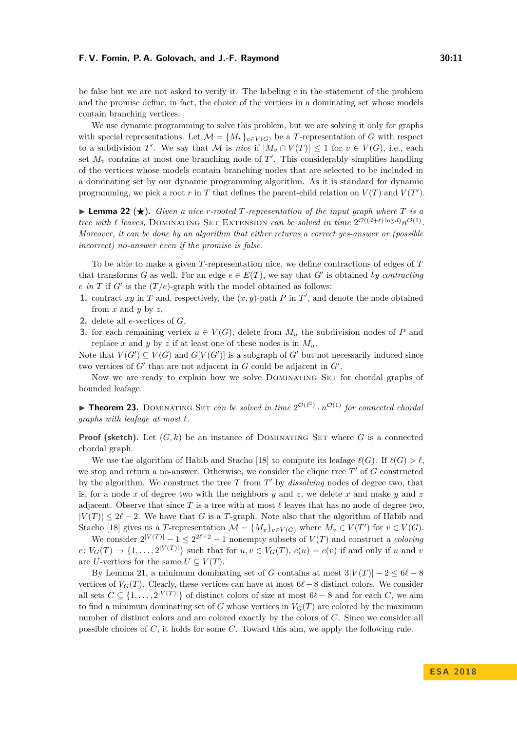be false but we are not asked to verify it. The labeling *c* in the statement of the problem and the promise define, in fact, the choice of the vertices in a dominating set whose models contain branching vertices.

We use dynamic programming to solve this problem, but we are solving it only for graphs with special representations. Let  $\mathcal{M} = \{M_v\}_{v \in V(G)}$  be a T-representation of *G* with respect to a subdivision *T*'. We say that *M* is *nice* if  $|M_v \cap V(T)| \leq 1$  for  $v \in V(G)$ , i.e., each set  $M_v$  contains at most one branching node of  $T'$ . This considerably simplifies handling of the vertices whose models contain branching nodes that are selected to be included in a dominating set by our dynamic programming algorithm. As it is standard for dynamic programming, we pick a root  $r$  in  $T$  that defines the parent-child relation on  $V(T)$  and  $V(T')$ .

<span id="page-10-0"></span>**I Lemma 22 (** $\star$ **).** Given a nice *r*-rooted *T*-representation of the input graph where *T* is a *tree with*  $\ell$  *leaves,* DOMINATING SET EXTENSION *can be solved in time*  $2^{\mathcal{O}((d+\ell)\log d)}n^{\mathcal{O}(1)}$ *. Moreover, it can be done by an algorithm that either returns a correct yes-answer or (possible incorrect) no-answer even if the promise is false.*

To be able to make a given *T*-representation nice, we define contractions of edges of *T* that transforms *G* as well. For an edge  $e \in E(T)$ , we say that *G'* is obtained by contracting *e* in *T* if *G*<sup> $\prime$ </sup> is the  $(T/e)$ -graph with the model obtained as follows:

- **1.** contract  $xy$  in  $T$  and, respectively, the  $(x, y)$ -path  $P$  in  $T'$ , and denote the node obtained from *x* and *y* by *z*,
- **2.** delete all *e*-vertices of *G*,
- **3.** for each remaining vertex  $u \in V(G)$ , delete from  $M_u$  the subdivision nodes of P and replace *x* and *y* by *z* if at least one of these nodes is in  $M_u$ .

Note that  $V(G') \subseteq V(G)$  and  $G[V(G')]$  is a subgraph of  $G'$  but not necessarily induced since two vertices of  $G'$  that are not adjacent in  $G$  could be adjacent in  $G'$ .

Now we are ready to explain how we solve DOMINATING SET for chordal graphs of bounded leafage.

**Theorem 23.** DOMINATING SET *can be solved in time*  $2^{\mathcal{O}(\ell^2)} \cdot n^{\mathcal{O}(1)}$  *for connected chordal graphs with leafage at most*  $\ell$ .

**Proof (sketch).** Let  $(G, k)$  be an instance of DOMINATING SET where G is a connected chordal graph.

We use the algorithm of Habib and Stacho [\[18\]](#page-13-11) to compute its leafage  $\ell(G)$ . If  $\ell(G) > \ell$ , we stop and return a no-answer. Otherwise, we consider the clique tree  $T'$  of  $G$  constructed by the algorithm. We construct the tree  $T$  from  $T'$  by *dissolving* nodes of degree two, that is, for a node *x* of degree two with the neighbors *y* and *z*, we delete *x* and make *y* and *z* adjacent. Observe that since  $T$  is a tree with at most  $\ell$  leaves that has no node of degree two,  $|V(T)| \leq 2\ell - 2$ . We have that *G* is a *T*-graph. Note also that the algorithm of Habib and Stacho [\[18\]](#page-13-11) gives us a *T*-representation  $\mathcal{M} = \{M_v\}_{v \in V(G)}$  where  $M_v \in V(T')$  for  $v \in V(G)$ .

We consider  $2^{|V(T)|} - 1 \leq 2^{2\ell - 2} - 1$  nonempty subsets of  $V(T)$  and construct a *coloring*  $c: V_G(T) \to \{1, \ldots, 2^{|V(T)|}\}$  such that for  $u, v \in V_G(T)$ ,  $c(u) = c(v)$  if and only if *u* and *v* are *U*-vertices for the same  $U \subseteq V(T)$ .

By Lemma [21,](#page-9-1) a minimum dominating set of *G* contains at most  $3|V(T)| - 2 \leq 6\ell - 8$ vertices of  $V_G(T)$ . Clearly, these vertices can have at most  $6\ell - 8$  distinct colors. We consider all sets  $C \subseteq \{1, \ldots, 2^{|V(T)|}\}\$  of distinct colors of size at most  $6\ell - 8$  and for each *C*, we aim to find a minimum dominating set of *G* whose vertices in  $V_G(T)$  are colored by the maximum number of distinct colors and are colored exactly by the colors of *C*. Since we consider all possible choices of *C*, it holds for some *C*. Toward this aim, we apply the following rule.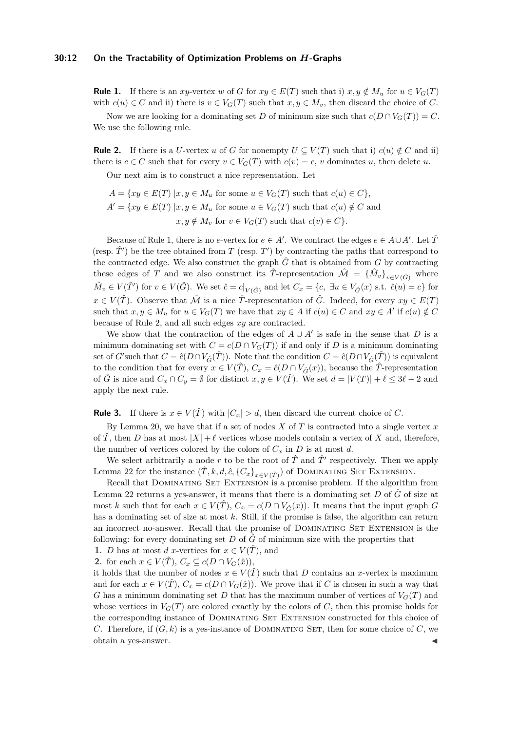#### **30:12 On the Tractability of Optimization Problems on** *H***-Graphs**

**Rule 1.** If there is an *xy*-vertex *w* of *G* for  $xy \in E(T)$  such that i)  $x, y \notin M_u$  for  $u \in V_G(T)$ with  $c(u) \in C$  and ii) there is  $v \in V_G(T)$  such that  $x, y \in M_v$ , then discard the choice of *C*.

Now we are looking for a dominating set *D* of minimum size such that  $c(D \cap V_G(T)) = C$ . We use the following rule.

**Rule 2.** If there is a *U*-vertex *u* of *G* for nonempty  $U \subseteq V(T)$  such that i)  $c(u) \notin C$  and ii) there is  $c \in C$  such that for every  $v \in V_G(T)$  with  $c(v) = c$ , *v* dominates *u*, then delete *u*.

Our next aim is to construct a nice representation. Let

 $A = \{xy \in E(T) \mid x, y \in M_u \text{ for some } u \in V_G(T) \text{ such that } c(u) \in C\},\$  $A' = \{xy \in E(T) | x, y \in M_u \text{ for some } u \in V_G(T) \text{ such that } c(u) \notin C \text{ and } c(u) \notin V_G(T) \}$  $x, y \notin M_v$  for  $v \in V_G(T)$  such that  $c(v) \in C$ *}.* 

Because of Rule 1, there is no *e*-vertex for  $e \in A'$ . We contract the edges  $e \in A \cup A'$ . Let  $\hat{T}$ (resp.  $\hat{T}'$ ) be the tree obtained from *T* (resp. *T'*) by contracting the paths that correspond to the contracted edge. We also construct the graph  $\hat{G}$  that is obtained from  $G$  by contracting these edges of *T* and we also construct its  $\hat{T}$ -representation  $\hat{\mathcal{M}} = {\hat{M}_v}_{v \in V(\hat{G})}$  where  $\hat{M}_v \in V(\hat{T}')$  for  $v \in V(\hat{G})$ . We set  $\hat{c} = c|_{V(\hat{G})}$  and let  $C_x = \{c, \exists u \in V_{\hat{G}}(x) \text{ s.t. } \hat{c}(u) = c\}$  for *x* ∈ *V*( $\hat{T}$ ). Observe that  $\hat{M}$  is a nice  $\hat{T}$ -representation of  $\hat{G}$ . Indeed, for every  $xy \in E(T)$ such that  $x, y \in M_u$  for  $u \in V_G(T)$  we have that  $xy \in A$  if  $c(u) \in C$  and  $xy \in A'$  if  $c(u) \notin C$ because of Rule 2, and all such edges *xy* are contracted.

We show that the contraction of the edges of  $A \cup A'$  is safe in the sense that *D* is a minimum dominating set with  $C = c(D \cap V_G(T))$  if and only if *D* is a minimum dominating set of *G*'such that  $C = \hat{c}(D \cap V_{\hat{G}}(\hat{T}))$ . Note that the condition  $C = \hat{c}(D \cap V_{\hat{G}}(\hat{T}))$  is equivalent to the condition that for every  $x \in V(\hat{T})$ ,  $C_x = \hat{c}(D \cap V_{\hat{C}}(x))$ , because the  $\hat{T}$ -representation of  $\hat{G}$  is nice and  $C_x \cap C_y = \emptyset$  for distinct  $x, y \in V(\hat{T})$ . We set  $d = |V(T)| + \ell \leq 3\ell - 2$  and apply the next rule.

**Rule 3.** If there is  $x \in V(\hat{T})$  with  $|C_x| > d$ , then discard the current choice of *C*.

By Lemma [20,](#page-9-0) we have that if a set of nodes *X* of *T* is contracted into a single vertex *x* of *T*, then *D* has at most  $|X| + \ell$  vertices whose models contain a vertex of *X* and, therefore, the number of vertices colored by the colors of  $C_x$  in  $D$  is at most  $d$ .

We select arbitrarily a node r to be the root of  $\hat{T}$  and  $\hat{T}'$  respectively. Then we apply Lemma [22](#page-10-0) for the instance  $(\hat{T}, k, d, \hat{c}, \{C_x\}_{x \in V(\hat{T})})$  of DOMINATING SET EXTENSION.

Recall that DOMINATING SET EXTENSION is a promise problem. If the algorithm from Lemma [22](#page-10-0) returns a yes-answer, it means that there is a dominating set  $D$  of  $\hat{G}$  of size at most *k* such that for each  $x \in V(\hat{T})$ ,  $C_x = c(D \cap V_{\hat{G}}(x))$ . It means that the input graph *G* has a dominating set of size at most *k*. Still, if the promise is false, the algorithm can return an incorrect no-answer. Recall that the promise of DOMINATING SET EXTENSION is the following: for every dominating set  $D$  of  $\hat{G}$  of minimum size with the properties that

**1.** *D* has at most *d x*-vertices for  $x \in V(\hat{T})$ , and

2. for each  $x \in V(\hat{T}), C_x \subseteq c(D \cap V_G(\hat{x})),$ 

it holds that the number of nodes  $x \in V(\hat{T})$  such that *D* contains an *x*-vertex is maximum and for each  $x \in V(\hat{T})$ ,  $C_x = c(D \cap V_G(\hat{x}))$ . We prove that if *C* is chosen in such a way that *G* has a minimum dominating set *D* that has the maximum number of vertices of  $V_G(T)$  and whose vertices in  $V_G(T)$  are colored exactly by the colors of C, then this promise holds for the corresponding instance of Dominating Set Extension constructed for this choice of *C*. Therefore, if  $(G, k)$  is a yes-instance of DOMINATING SET, then for some choice of *C*, we obtain a yes-answer.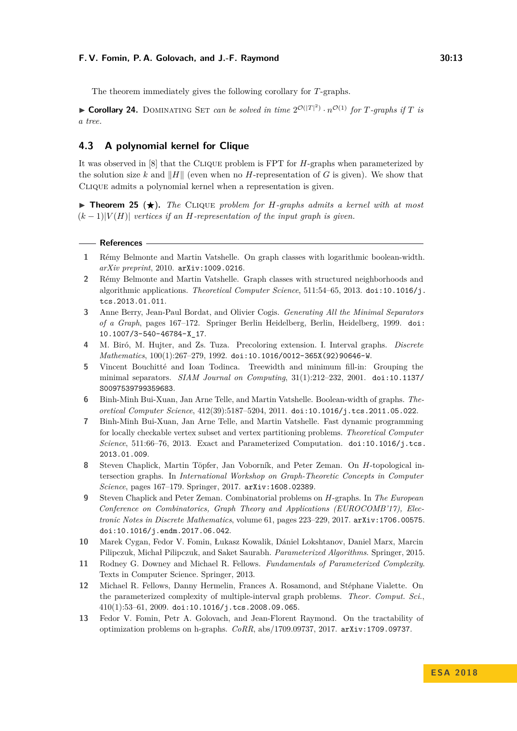The theorem immediately gives the following corollary for *T*-graphs.

 $\triangleright$  **Corollary 24.** DOMINATING SET *can be solved in time*  $2^{\mathcal{O}(|T|^2)} \cdot n^{\mathcal{O}(1)}$  *for T-graphs if T is a tree.*

## **4.3 A polynomial kernel for Clique**

It was observed in [\[8\]](#page-12-2) that the Clique problem is FPT for *H*-graphs when parameterized by the solution size k and  $\|H\|$  (even when no H-representation of G is given). We show that CLIQUE admits a polynomial kernel when a representation is given.

 $\triangleright$  **Theorem 25** ( $\star$ ). The CLIQUE problem for *H*-graphs admits a kernel with at most  $(k-1)|V(H)|$  *vertices if an H*-representation of the input graph is given.

#### **References**

- <span id="page-12-5"></span>**1** Rémy Belmonte and Martin Vatshelle. On graph classes with logarithmic boolean-width. *arXiv preprint*, 2010. [arXiv:1009.0216](http://arxiv.org/abs/1009.0216).
- <span id="page-12-4"></span>**2** Rémy Belmonte and Martin Vatshelle. Graph classes with structured neighborhoods and algorithmic applications. *Theoretical Computer Science*, 511:54–65, 2013. [doi:10.1016/j.](http://dx.doi.org/10.1016/j.tcs.2013.01.011) [tcs.2013.01.011](http://dx.doi.org/10.1016/j.tcs.2013.01.011).
- <span id="page-12-10"></span>**3** Anne Berry, Jean-Paul Bordat, and Olivier Cogis. *Generating All the Minimal Separators of a Graph*, pages 167–172. Springer Berlin Heidelberg, Berlin, Heidelberg, 1999. [doi:](http://dx.doi.org/10.1007/3-540-46784-X_17) [10.1007/3-540-46784-X\\_17](http://dx.doi.org/10.1007/3-540-46784-X_17).
- <span id="page-12-1"></span>**4** M. Biró, M. Hujter, and Zs. Tuza. Precoloring extension. I. Interval graphs. *Discrete Mathematics*, 100(1):267–279, 1992. [doi:10.1016/0012-365X\(92\)90646-W](http://dx.doi.org/10.1016/0012-365X(92)90646-W).
- <span id="page-12-11"></span>**5** Vincent Bouchitté and Ioan Todinca. Treewidth and minimum fill-in: Grouping the minimal separators. *SIAM Journal on Computing*, 31(1):212–232, 2001. [doi:10.1137/](http://dx.doi.org/10.1137/S0097539799359683) [S0097539799359683](http://dx.doi.org/10.1137/S0097539799359683).
- <span id="page-12-6"></span>**6** Binh-Minh Bui-Xuan, Jan Arne Telle, and Martin Vatshelle. Boolean-width of graphs. *Theoretical Computer Science*, 412(39):5187–5204, 2011. [doi:10.1016/j.tcs.2011.05.022](http://dx.doi.org/10.1016/j.tcs.2011.05.022).
- <span id="page-12-9"></span>**7** Binh-Minh Bui-Xuan, Jan Arne Telle, and Martin Vatshelle. Fast dynamic programming for locally checkable vertex subset and vertex partitioning problems. *Theoretical Computer Science*, 511:66–76, 2013. Exact and Parameterized Computation. [doi:10.1016/j.tcs.](http://dx.doi.org/10.1016/j.tcs.2013.01.009) [2013.01.009](http://dx.doi.org/10.1016/j.tcs.2013.01.009).
- <span id="page-12-2"></span>**8** Steven Chaplick, Martin Töpfer, Jan Voborník, and Peter Zeman. On *H*-topological intersection graphs. In *International Workshop on Graph-Theoretic Concepts in Computer Science*, pages 167–179. Springer, 2017. [arXiv:1608.02389](http://arxiv.org/abs/1608.02389).
- <span id="page-12-3"></span>**9** Steven Chaplick and Peter Zeman. Combinatorial problems on *H*-graphs. In *The European Conference on Combinatorics, Graph Theory and Applications (EUROCOMB'17), Electronic Notes in Discrete Mathematics*, volume 61, pages 223–229, 2017. [arXiv:1706.00575](http://arxiv.org/abs/1706.00575). [doi:10.1016/j.endm.2017.06.042](http://dx.doi.org/10.1016/j.endm.2017.06.042).
- <span id="page-12-8"></span>**10** Marek Cygan, Fedor V. Fomin, Łukasz Kowalik, Dániel Lokshtanov, Daniel Marx, Marcin Pilipczuk, Michał Pilipczuk, and Saket Saurabh. *Parameterized Algorithms*. Springer, 2015.
- <span id="page-12-7"></span>**11** Rodney G. Downey and Michael R. Fellows. *Fundamentals of Parameterized Complexity*. Texts in Computer Science. Springer, 2013.
- <span id="page-12-12"></span>**12** Michael R. Fellows, Danny Hermelin, Frances A. Rosamond, and Stéphane Vialette. On the parameterized complexity of multiple-interval graph problems. *Theor. Comput. Sci.*,  $410(1):53-61, 2009.$  [doi:10.1016/j.tcs.2008.09.065](http://dx.doi.org/10.1016/j.tcs.2008.09.065).
- <span id="page-12-0"></span>**13** Fedor V. Fomin, Petr A. Golovach, and Jean-Florent Raymond. On the tractability of optimization problems on h-graphs. *CoRR*, abs/1709.09737, 2017. [arXiv:1709.09737](http://arxiv.org/abs/1709.09737).